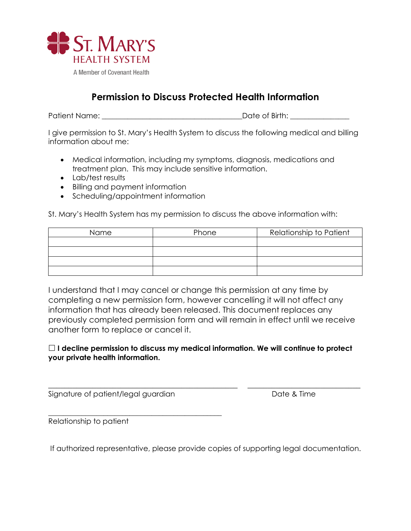

## **Permission to Discuss Protected Health Information**

Patient Name: \_\_\_\_\_\_\_\_\_\_\_\_\_\_\_\_\_\_\_\_\_\_\_\_\_\_\_\_\_\_\_\_\_\_\_\_\_\_Date of Birth: \_\_\_\_\_\_\_\_\_\_\_\_\_\_\_\_

I give permission to St. Mary's Health System to discuss the following medical and billing information about me:

- Medical information, including my symptoms, diagnosis, medications and treatment plan. This may include sensitive information.
- Lab/test results
- Billing and payment information
- Scheduling/appointment information

St. Mary's Health System has my permission to discuss the above information with:

| Name | Phone | Relationship to Patient |
|------|-------|-------------------------|
|      |       |                         |
|      |       |                         |
|      |       |                         |
|      |       |                         |

I understand that I may cancel or change this permission at any time by completing a new permission form, however cancelling it will not affect any information that has already been released. This document replaces any previously completed permission form and will remain in effect until we receive another form to replace or cancel it.

## **I decline permission to discuss my medical information. We will continue to protect your private health information.**

\_\_\_\_\_\_\_\_\_\_\_\_\_\_\_\_\_\_\_\_\_\_\_\_\_\_\_\_\_\_\_\_\_\_\_\_\_\_\_\_\_\_\_\_\_\_\_ \_\_\_\_\_\_\_\_\_\_\_\_\_\_\_\_\_\_\_\_\_\_\_\_\_\_\_\_

Signature of patient/legal guardian Date & Time

\_\_\_\_\_\_\_\_\_\_\_\_\_\_\_\_\_\_\_\_\_\_\_\_\_\_\_\_\_\_\_\_\_\_\_\_\_\_\_\_\_\_\_\_\_\_\_

Relationship to patient

If authorized representative, please provide copies of supporting legal documentation.